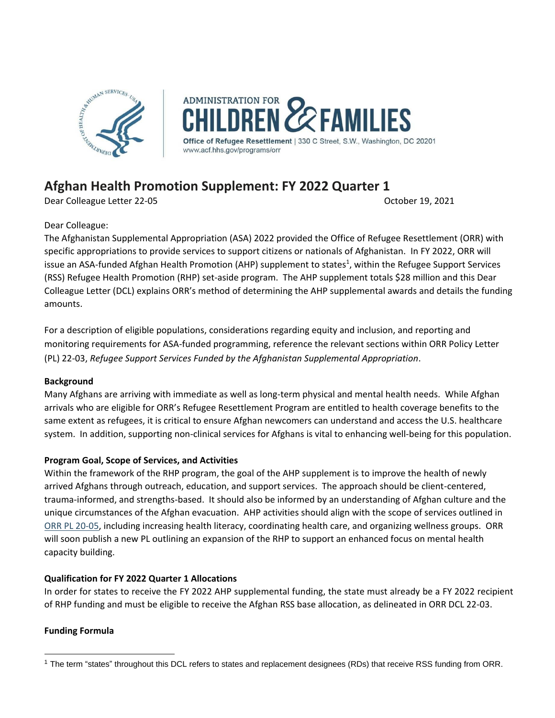

**ADMINISTRATION FOR FAMILIES** of Refugee Resettlement | 330 C Street, S.W., Washington, DC 20201 www.acf.hhs.gov/programs/orr

# **Afghan Health Promotion Supplement: FY 2022 Quarter 1**

Dear Colleague Letter 22-05 October 19, 2021

Dear Colleague:

The Afghanistan Supplemental Appropriation (ASA) 2022 provided the Office of Refugee Resettlement (ORR) with specific appropriations to provide services to support citizens or nationals of Afghanistan. In FY 2022, ORR will issue an ASA-funded Afghan Health Promotion (AHP) supplement to states<sup>1</sup>, within the Refugee Support Services (RSS) Refugee Health Promotion (RHP) set-aside program. The AHP supplement totals \$28 million and this Dear Colleague Letter (DCL) explains ORR's method of determining the AHP supplemental awards and details the funding amounts.

For a description of eligible populations, considerations regarding equity and inclusion, and reporting and monitoring requirements for ASA-funded programming, reference the relevant sections within ORR Policy Letter (PL) 22-03, *Refugee Support Services Funded by the Afghanistan Supplemental Appropriation*.

# **Background**

Many Afghans are arriving with immediate as well as long-term physical and mental health needs. While Afghan arrivals who are eligible for ORR's Refugee Resettlement Program are entitled to health coverage benefits to the same extent as refugees, it is critical to ensure Afghan newcomers can understand and access the U.S. healthcare system. In addition, supporting non-clinical services for Afghans is vital to enhancing well-being for this population.

# **Program Goal, Scope of Services, and Activities**

Within the framework of the RHP program, the goal of the AHP supplement is to improve the health of newly arrived Afghans through outreach, education, and support services. The approach should be client-centered, trauma-informed, and strengths-based. It should also be informed by an understanding of Afghan culture and the unique circumstances of the Afghan evacuation. AHP activities should align with the scope of services outlined in [ORR PL 20-05,](https://www.acf.hhs.gov/sites/default/files/documents/orr/pl_20_05_rhp_transitions_to_rss6_1.pdf) including increasing health literacy, coordinating health care, and organizing wellness groups. ORR will soon publish a new PL outlining an expansion of the RHP to support an enhanced focus on mental health capacity building.

# **Qualification for FY 2022 Quarter 1 Allocations**

In order for states to receive the FY 2022 AHP supplemental funding, the state must already be a FY 2022 recipient of RHP funding and must be eligible to receive the Afghan RSS base allocation, as delineated in ORR DCL 22-03.

# **Funding Formula**

<sup>&</sup>lt;sup>1</sup> The term "states" throughout this DCL refers to states and replacement designees (RDs) that receive RSS funding from ORR.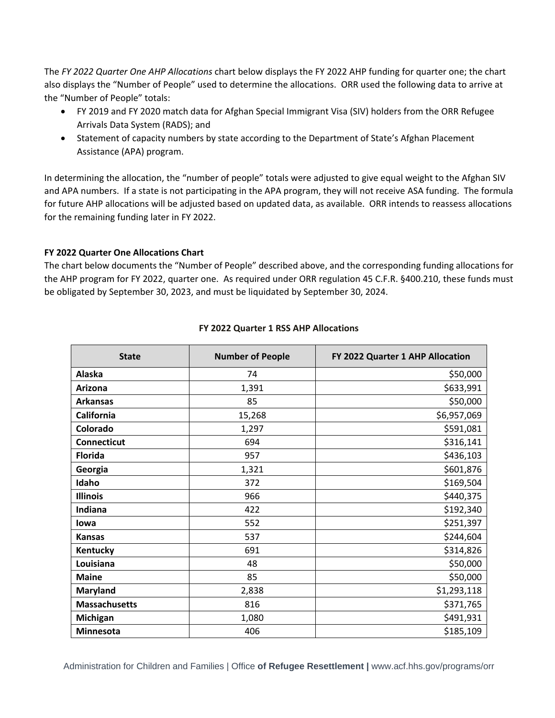The *FY 2022 Quarter One AHP Allocations* chart below displays the FY 2022 AHP funding for quarter one; the chart also displays the "Number of People" used to determine the allocations. ORR used the following data to arrive at the "Number of People" totals:

- FY 2019 and FY 2020 match data for Afghan Special Immigrant Visa (SIV) holders from the ORR Refugee Arrivals Data System (RADS); and
- Statement of capacity numbers by state according to the Department of State's Afghan Placement Assistance (APA) program.

In determining the allocation, the "number of people" totals were adjusted to give equal weight to the Afghan SIV and APA numbers. If a state is not participating in the APA program, they will not receive ASA funding. The formula for future AHP allocations will be adjusted based on updated data, as available. ORR intends to reassess allocations for the remaining funding later in FY 2022.

#### **FY 2022 Quarter One Allocations Chart**

The chart below documents the "Number of People" described above, and the corresponding funding allocations for the AHP program for FY 2022, quarter one. As required under ORR regulation 45 C.F.R. §400.210, these funds must be obligated by September 30, 2023, and must be liquidated by September 30, 2024.

| <b>State</b>         | <b>Number of People</b> | FY 2022 Quarter 1 AHP Allocation |
|----------------------|-------------------------|----------------------------------|
| Alaska               | 74                      | \$50,000                         |
| Arizona              | 1,391                   | \$633,991                        |
| <b>Arkansas</b>      | 85                      | \$50,000                         |
| California           | 15,268                  | \$6,957,069                      |
| Colorado             | 1,297                   | \$591,081                        |
| <b>Connecticut</b>   | 694                     | \$316,141                        |
| <b>Florida</b>       | 957                     | \$436,103                        |
| Georgia              | 1,321                   | \$601,876                        |
| Idaho                | 372                     | \$169,504                        |
| <b>Illinois</b>      | 966                     | \$440,375                        |
| Indiana              | 422                     | \$192,340                        |
| lowa                 | 552                     | \$251,397                        |
| <b>Kansas</b>        | 537                     | \$244,604                        |
| Kentucky             | 691                     | \$314,826                        |
| Louisiana            | 48                      | \$50,000                         |
| <b>Maine</b>         | 85                      | \$50,000                         |
| Maryland             | 2,838                   | \$1,293,118                      |
| <b>Massachusetts</b> | 816                     | \$371,765                        |
| <b>Michigan</b>      | 1,080                   | \$491,931                        |
| <b>Minnesota</b>     | 406                     | \$185,109                        |

#### **FY 2022 Quarter 1 RSS AHP Allocations**

Administration for Children and Families | Office **of Refugee Resettlement |** www.acf.hhs.gov/programs/orr